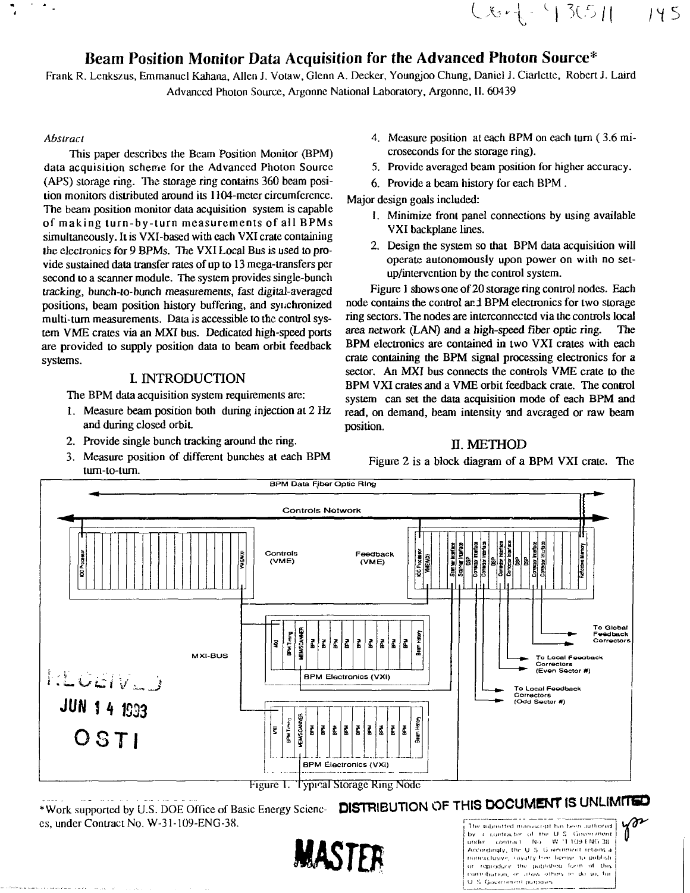# Beam Position Monitor Data Acquisition for the Advanced Photon Source\*

Frank R. Lenkszus, Emmanuel Kahana, Allen J. Votaw, Glenn A. Decker, Youngjoo Chung, Daniel J. Ciarlette, Robert J. Laird Advanced Photon Source, Argonnc National Laboratory, Argonne, 11. 60439

#### *Abstract*

 $\gamma$  .

This paper describes the Beam Position Monitor (BPM) data acquisition scheme for the Advanced Photon Source (APS) storage ring. The storage ring contains 360 beam position monitors distributed around its 1104-meter circumference. The beam position monitor data acquisition system is capable of making turn-by-turn measurements of all BPMs simultaneously. It is VXI-based with each VXI crate containing the electronics for 9 BPMs. The VXI Local Bus is used to provide sustained data transfer rates of up to 13 mega-transfers per second to a scanner module. The system provides single-bunch tracking, bunch-to-bunch measurements, fast digital-averaged positions, beam position history buffering, and synchronized multi-turn measurements. Data is accessible to the control system VME crates via an MXI bus. Dedicated high-speed ports are provided to supply position data to beam orbit feedback systems.

#### L INTRODUCTION

The BPM data acquisition system requirements are:

- 1. Measure beam position both during injection at 2 Hz and during closed orbit.
- 2. Provide single bunch tracking around the ring.
- 3. Measure position of different bunches at each BPM tum-to-turn.

4. Measure position at each BPM on each turn (3.6 microseconds for the storage ring).

**LA, \**

- 5. Provide averaged beam position for higher accuracy.
- 6. Provide a beam history for each BPM.

Major design goals included:

- 1. Minimize front panel connections by using available VXI backplane lines.
- 2. Design the system so that BPM data acquisition will operate autonomously upon power on with no setup/intervention by the control system.

Figure 1 shows one of 20 storage ring control nodes. Each node contains the control and BPM electronics for two storage ring sectors. The nodes are interconnected via the controls local area network (LAN) and a high-speed fiber optic ring. The BPM electronics are contained in two VXI crates with each crate containing the BPM signal processing electronics for a sector. An MXI bus connects the controls VME crate to the BPM VXI crates and a VME orbit feedback crate. The control system can set the data acquisition mode of each BPM and read, on demand, beam intensity and averaged or raw beam position.

#### E. METHOD

Figure 2 is a block diagram of a BPM VXI crate. The



•Work .supported by U.S. DOE Office of Basic Energy Scicnc- **DISTRIBUTION OF THIS DOCUMENT IS UNLIMITED** es, under Contract No. W-31-109-ENG-38.



under Accordingly, the U.S. Givernment retains a nonexclusive, royalty free boense to publish or reproduce the published form of this contribution, or allow others to do so, for U.S. Government purposes

*'*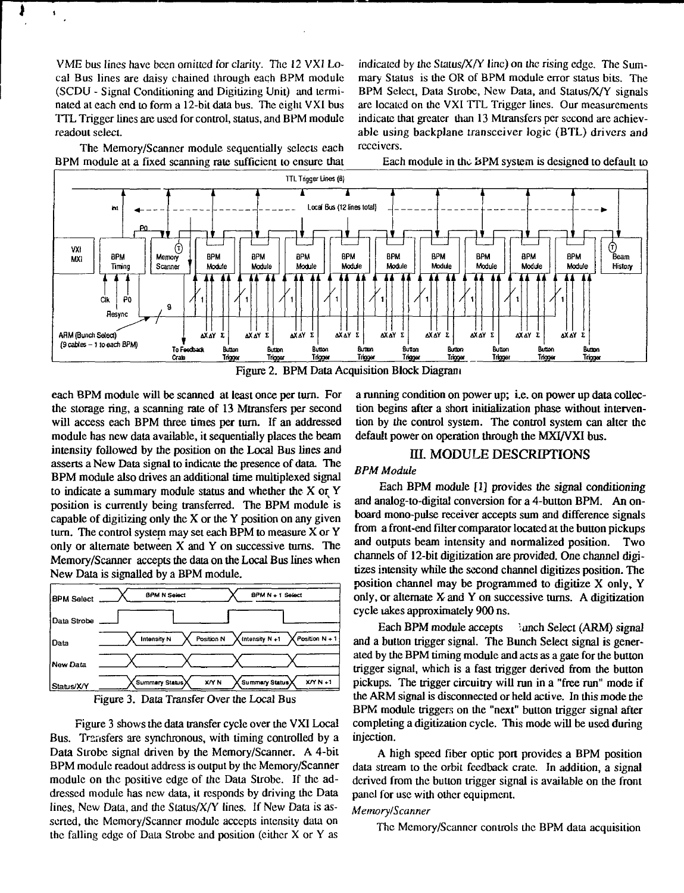VME bus lines have been omitted for clarity. The 12 VXI Local Bus lines are daisy chained through each BPM module (SCDLJ - Signal Conditioning and Digitizing Unit) and terminated at each end to form a 12-bit data bus. The eight VXI bus TTL Trigger lines are used for control, status, and BPM module readout select.

 $\blacksquare$ 

The Memory/Scanner module sequentially selects each BPM module at a fixed scanning rate sufficient to ensure that indicated by the Status/ $X/Y$  line) on the rising edge. The Summary Status is the OR of BPM module error status bits. The BPM Select, Data Strobe, New Data, and Status/X/Y signals are located on the VXI TTL Trigger lines. Our measurements indicate that greater than 13 Mtransfers per second are achievable using backplane transceiver logic (BTL) drivers and receivers.

Each module in the &PM system is designed to default to



Figure 2. BPM Data Acquisition Block Diagram

each BPM module will be scanned at least once per turn. For the storage ring, a scanning rate of 13 Mtransfers per second will access each BPM three times per turn. If an addressed module has new data available, it sequentially places the beam intensity followed by the position on the Local Bus lines and asserts a New Data signal to indicate the presence of data. The BPM module also drives an additional time multiplexed signal to indicate a summary module status and whether the X or Y position is currently being transferred. The BPM module is capable of digitizing only the  $X$  or the  $Y$  position on any given turn. The control system may set each BPM to measure X or Y only or alternate between X and Y on successive turns. The Memory/Scanner accepts the data on the Local Bus lines when New Data is signalled by a BPM module.





Figure 3 shows the data transfer cycle over the VXI Local Bus. Transfers are synchronous, with timing controlled by a Data Strobe signal driven by the Memory/Scanner. A 4-bit BPM module readout address is output by the Memory/Scanner module on the positive edge of the Data Strobe. If the addressed module has new data, it responds by driving the Data lines. New Data, and the Status/X/Y lines. If New Data is asserted, the Memory/Scanner module accepts intensity data on the falling edge of Data Strobe and position (either X or Y as

a running condition on power up; i.e. on power up data collection begins after a short initialization phase without intervention by the control system. The control system can alter the default power on operation through the MXI/VXI bus.

# III. MODULE DESCRIPTIONS

#### *BPM Module*

Each BPM module [1] provides the signal conditioning and analog-to-digital conversion for a 4-button BPM. An onboard mono-pulse receiver accepts sum and difference signals from a front-end filter comparator located at the button pickups and outputs beam intensity and normalized position. Two channels of 12-bit digitization are provided. One channel digitizes intensity while the second channel digitizes position. The position channel may be programmed to digitize X only, Y only, or alternate  $X$  and  $Y$  on successive turns. A digitization cycle lakes approximately 900 ns.

Each BPM module accepts and Select (ARM) signal and a button trigger signal. The Bunch Select signal is generated by the BPM timing module and acts as a gate for the button trigger signal, which is a fast trigger derived from the button pickups. The trigger circuitry will run in a "free run" mode if the ARM signal is disconnected or held active. In this mode the BPM module triggers on the "next" button trigger signal after completing a digitization cycle. This mode will be used during injection.

A high speed fiber optic port provides a BPM position data stream to the orbit feedback crate. In addition, a signal derived from the button trigger signal is available on the front panel for use with other equipment.

#### *Memory/Scanner*

The Memory/Scanner controls the BPM data acquisition